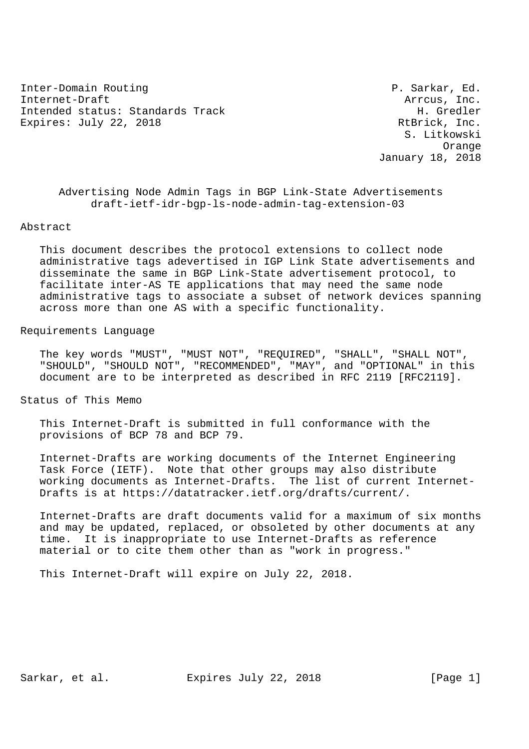Inter-Domain Routing **P. Sarkar, Ed.** Internet-Draft  $\overline{a}$  arrcus, Inc. Intended status: Standards Track H. Gredler Expires: July 22, 2018 RtBrick, Inc.

 S. Litkowski Orange January 18, 2018

 Advertising Node Admin Tags in BGP Link-State Advertisements draft-ietf-idr-bgp-ls-node-admin-tag-extension-03

#### Abstract

 This document describes the protocol extensions to collect node administrative tags adevertised in IGP Link State advertisements and disseminate the same in BGP Link-State advertisement protocol, to facilitate inter-AS TE applications that may need the same node administrative tags to associate a subset of network devices spanning across more than one AS with a specific functionality.

#### Requirements Language

 The key words "MUST", "MUST NOT", "REQUIRED", "SHALL", "SHALL NOT", "SHOULD", "SHOULD NOT", "RECOMMENDED", "MAY", and "OPTIONAL" in this document are to be interpreted as described in RFC 2119 [RFC2119].

Status of This Memo

 This Internet-Draft is submitted in full conformance with the provisions of BCP 78 and BCP 79.

 Internet-Drafts are working documents of the Internet Engineering Task Force (IETF). Note that other groups may also distribute working documents as Internet-Drafts. The list of current Internet- Drafts is at https://datatracker.ietf.org/drafts/current/.

 Internet-Drafts are draft documents valid for a maximum of six months and may be updated, replaced, or obsoleted by other documents at any time. It is inappropriate to use Internet-Drafts as reference material or to cite them other than as "work in progress."

This Internet-Draft will expire on July 22, 2018.

Sarkar, et al. Expires July 22, 2018 [Page 1]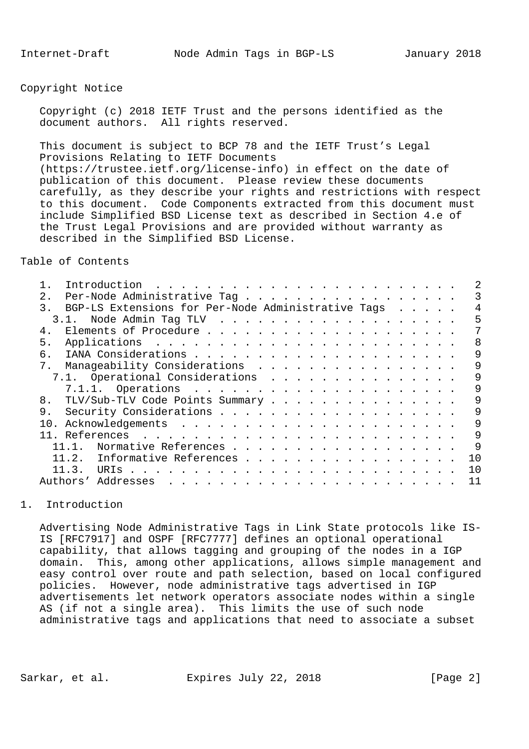### Copyright Notice

 Copyright (c) 2018 IETF Trust and the persons identified as the document authors. All rights reserved.

 This document is subject to BCP 78 and the IETF Trust's Legal Provisions Relating to IETF Documents (https://trustee.ietf.org/license-info) in effect on the date of publication of this document. Please review these documents carefully, as they describe your rights and restrictions with respect to this document. Code Components extracted from this document must include Simplified BSD License text as described in Section 4.e of the Trust Legal Provisions and are provided without warranty as described in the Simplified BSD License.

Table of Contents

| 2 <sub>1</sub><br>Per-Node Administrative Tag                       |  |  |  |                |
|---------------------------------------------------------------------|--|--|--|----------------|
| BGP-LS Extensions for Per-Node Administrative Tags<br>$\mathcal{R}$ |  |  |  | 4              |
| 3.1. Node Admin Tag TLV                                             |  |  |  | 5              |
| 4.                                                                  |  |  |  |                |
| 5.                                                                  |  |  |  | 8              |
| რ.                                                                  |  |  |  | 9              |
| Manaqeability Considerations<br>$7_{\odot}$                         |  |  |  | 9              |
| 7.1. Operational Considerations                                     |  |  |  | 9              |
|                                                                     |  |  |  | 9              |
| TLV/Sub-TLV Code Points Summary<br>8.                               |  |  |  | 9              |
| 9.                                                                  |  |  |  | 9              |
|                                                                     |  |  |  | 9              |
|                                                                     |  |  |  | 9              |
| Normative References                                                |  |  |  | 9              |
| 11.2.<br>Informative References                                     |  |  |  | 1 O            |
| 11.3.                                                               |  |  |  | 1 <sub>0</sub> |
| Addresses<br>Authors'                                               |  |  |  | 11             |
|                                                                     |  |  |  |                |

## 1. Introduction

 Advertising Node Administrative Tags in Link State protocols like IS- IS [RFC7917] and OSPF [RFC7777] defines an optional operational capability, that allows tagging and grouping of the nodes in a IGP domain. This, among other applications, allows simple management and easy control over route and path selection, based on local configured policies. However, node administrative tags advertised in IGP advertisements let network operators associate nodes within a single AS (if not a single area). This limits the use of such node administrative tags and applications that need to associate a subset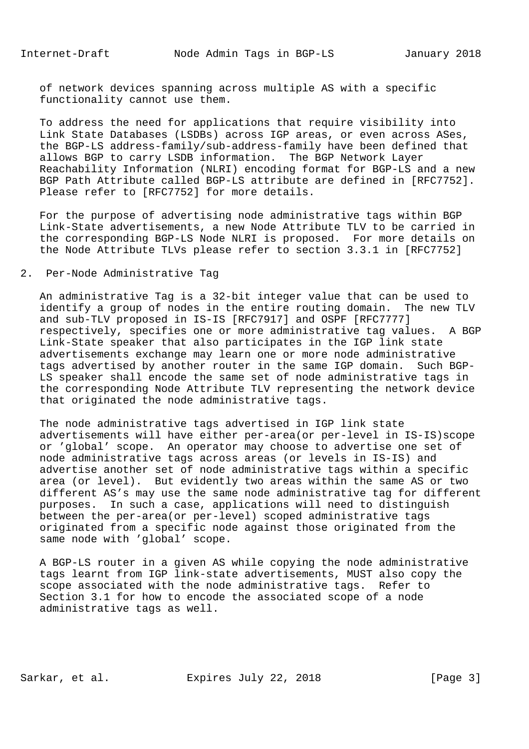of network devices spanning across multiple AS with a specific functionality cannot use them.

 To address the need for applications that require visibility into Link State Databases (LSDBs) across IGP areas, or even across ASes, the BGP-LS address-family/sub-address-family have been defined that allows BGP to carry LSDB information. The BGP Network Layer Reachability Information (NLRI) encoding format for BGP-LS and a new BGP Path Attribute called BGP-LS attribute are defined in [RFC7752]. Please refer to [RFC7752] for more details.

 For the purpose of advertising node administrative tags within BGP Link-State advertisements, a new Node Attribute TLV to be carried in the corresponding BGP-LS Node NLRI is proposed. For more details on the Node Attribute TLVs please refer to section 3.3.1 in [RFC7752]

#### 2. Per-Node Administrative Tag

 An administrative Tag is a 32-bit integer value that can be used to identify a group of nodes in the entire routing domain. The new TLV and sub-TLV proposed in IS-IS [RFC7917] and OSPF [RFC7777] respectively, specifies one or more administrative tag values. A BGP Link-State speaker that also participates in the IGP link state advertisements exchange may learn one or more node administrative tags advertised by another router in the same IGP domain. Such BGP- LS speaker shall encode the same set of node administrative tags in the corresponding Node Attribute TLV representing the network device that originated the node administrative tags.

 The node administrative tags advertised in IGP link state advertisements will have either per-area(or per-level in IS-IS)scope or 'global' scope. An operator may choose to advertise one set of node administrative tags across areas (or levels in IS-IS) and advertise another set of node administrative tags within a specific area (or level). But evidently two areas within the same AS or two different AS's may use the same node administrative tag for different purposes. In such a case, applications will need to distinguish between the per-area(or per-level) scoped administrative tags originated from a specific node against those originated from the same node with 'global' scope.

 A BGP-LS router in a given AS while copying the node administrative tags learnt from IGP link-state advertisements, MUST also copy the scope associated with the node administrative tags. Refer to Section 3.1 for how to encode the associated scope of a node administrative tags as well.

Sarkar, et al. Expires July 22, 2018 [Page 3]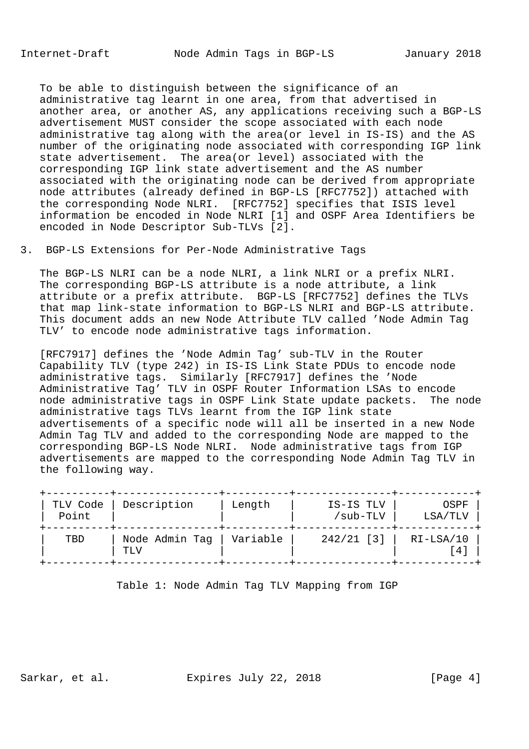To be able to distinguish between the significance of an administrative tag learnt in one area, from that advertised in another area, or another AS, any applications receiving such a BGP-LS advertisement MUST consider the scope associated with each node administrative tag along with the area(or level in IS-IS) and the AS number of the originating node associated with corresponding IGP link state advertisement. The area(or level) associated with the corresponding IGP link state advertisement and the AS number associated with the originating node can be derived from appropriate node attributes (already defined in BGP-LS [RFC7752]) attached with the corresponding Node NLRI. [RFC7752] specifies that ISIS level information be encoded in Node NLRI [1] and OSPF Area Identifiers be encoded in Node Descriptor Sub-TLVs [2].

## 3. BGP-LS Extensions for Per-Node Administrative Tags

 The BGP-LS NLRI can be a node NLRI, a link NLRI or a prefix NLRI. The corresponding BGP-LS attribute is a node attribute, a link attribute or a prefix attribute. BGP-LS [RFC7752] defines the TLVs that map link-state information to BGP-LS NLRI and BGP-LS attribute. This document adds an new Node Attribute TLV called 'Node Admin Tag TLV' to encode node administrative tags information.

 [RFC7917] defines the 'Node Admin Tag' sub-TLV in the Router Capability TLV (type 242) in IS-IS Link State PDUs to encode node administrative tags. Similarly [RFC7917] defines the 'Node Administrative Tag' TLV in OSPF Router Information LSAs to encode node administrative tags in OSPF Link State update packets. The node administrative tags TLVs learnt from the IGP link state advertisements of a specific node will all be inserted in a new Node Admin Tag TLV and added to the corresponding Node are mapped to the corresponding BGP-LS Node NLRI. Node administrative tags from IGP advertisements are mapped to the corresponding Node Admin Tag TLV in the following way.

| TLV Code<br>Point<br>- - - - - - - - | Description           | Length   | IS-IS TLV<br>/sub-TLV | OSPF<br>LSA/TLV |
|--------------------------------------|-----------------------|----------|-----------------------|-----------------|
| TBD                                  | Node Admin Tag<br>TLV | Variable | $242/21$ [3]          | $RI-LSA/10$     |

Table 1: Node Admin Tag TLV Mapping from IGP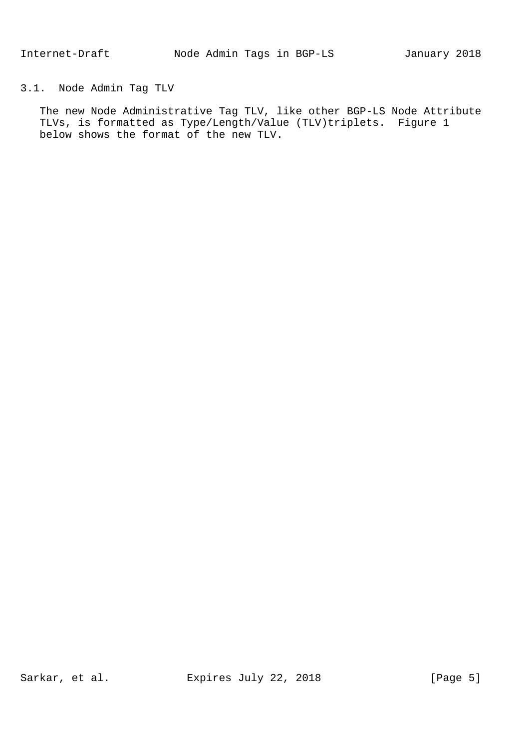## 3.1. Node Admin Tag TLV

 The new Node Administrative Tag TLV, like other BGP-LS Node Attribute TLVs, is formatted as Type/Length/Value (TLV)triplets. Figure 1 below shows the format of the new TLV.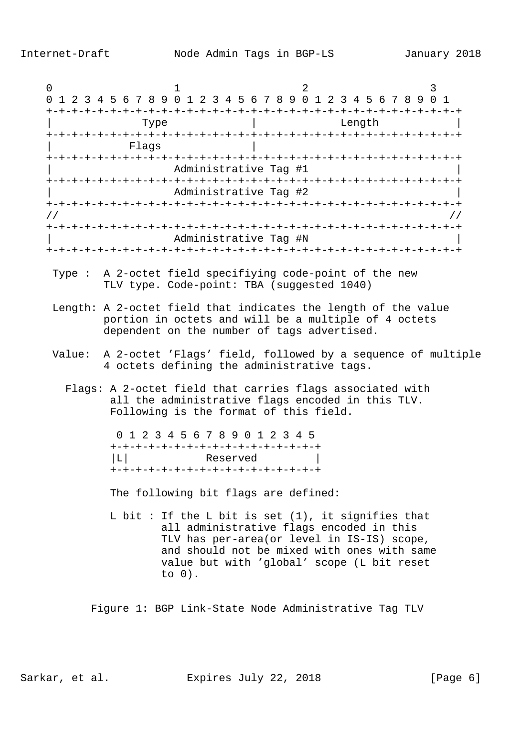0  $1$  2 3 0 1 2 3 4 5 6 7 8 9 0 1 2 3 4 5 6 7 8 9 0 1 2 3 4 5 6 7 8 9 0 1 +-+-+-+-+-+-+-+-+-+-+-+-+-+-+-+-+-+-+-+-+-+-+-+-+-+-+-+-+-+-+-+-+ Type  $|\hspace{.1cm} \rangle$  Length  $|\hspace{.1cm} \rangle$  +-+-+-+-+-+-+-+-+-+-+-+-+-+-+-+-+-+-+-+-+-+-+-+-+-+-+-+-+-+-+-+-+ Flags +-+-+-+-+-+-+-+-+-+-+-+-+-+-+-+-+-+-+-+-+-+-+-+-+-+-+-+-+-+-+-+-+ | Administrative Tag #1 | +-+-+-+-+-+-+-+-+-+-+-+-+-+-+-+-+-+-+-+-+-+-+-+-+-+-+-+-+-+-+-+-+ | Administrative Tag #2 | +-+-+-+-+-+-+-+-+-+-+-+-+-+-+-+-+-+-+-+-+-+-+-+-+-+-+-+-+-+-+-+-+ // // +-+-+-+-+-+-+-+-+-+-+-+-+-+-+-+-+-+-+-+-+-+-+-+-+-+-+-+-+-+-+-+-+ | Administrative Tag #N | +-+-+-+-+-+-+-+-+-+-+-+-+-+-+-+-+-+-+-+-+-+-+-+-+-+-+-+-+-+-+-+-+ Type : A 2-octet field specifiying code-point of the new TLV type. Code-point: TBA (suggested 1040) Length: A 2-octet field that indicates the length of the value portion in octets and will be a multiple of 4 octets dependent on the number of tags advertised. Value: A 2-octet 'Flags' field, followed by a sequence of multiple 4 octets defining the administrative tags. Flags: A 2-octet field that carries flags associated with all the administrative flags encoded in this TLV. Following is the format of this field. 0 1 2 3 4 5 6 7 8 9 0 1 2 3 4 5 +-+-+-+-+-+-+-+-+-+-+-+-+-+-+-+-+ |L| Reserved | +-+-+-+-+-+-+-+-+-+-+-+-+-+-+-+-+ The following bit flags are defined: L bit : If the L bit is set  $(1)$ , it signifies that all administrative flags encoded in this TLV has per-area(or level in IS-IS) scope, and should not be mixed with ones with same value but with 'global' scope (L bit reset to 0). Figure 1: BGP Link-State Node Administrative Tag TLV

Sarkar, et al. Expires July 22, 2018 [Page 6]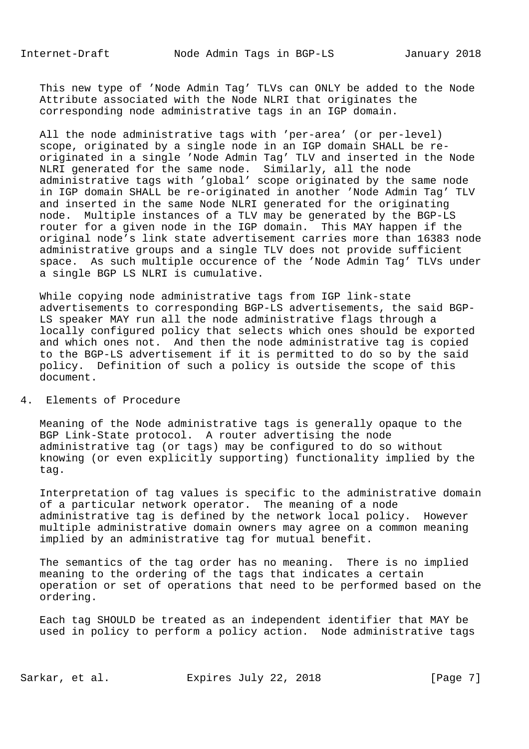This new type of 'Node Admin Tag' TLVs can ONLY be added to the Node Attribute associated with the Node NLRI that originates the corresponding node administrative tags in an IGP domain.

 All the node administrative tags with 'per-area' (or per-level) scope, originated by a single node in an IGP domain SHALL be re originated in a single 'Node Admin Tag' TLV and inserted in the Node NLRI generated for the same node. Similarly, all the node administrative tags with 'global' scope originated by the same node in IGP domain SHALL be re-originated in another 'Node Admin Tag' TLV and inserted in the same Node NLRI generated for the originating node. Multiple instances of a TLV may be generated by the BGP-LS router for a given node in the IGP domain. This MAY happen if the original node's link state advertisement carries more than 16383 node administrative groups and a single TLV does not provide sufficient space. As such multiple occurence of the 'Node Admin Tag' TLVs under a single BGP LS NLRI is cumulative.

 While copying node administrative tags from IGP link-state advertisements to corresponding BGP-LS advertisements, the said BGP- LS speaker MAY run all the node administrative flags through a locally configured policy that selects which ones should be exported and which ones not. And then the node administrative tag is copied to the BGP-LS advertisement if it is permitted to do so by the said policy. Definition of such a policy is outside the scope of this document.

#### 4. Elements of Procedure

 Meaning of the Node administrative tags is generally opaque to the BGP Link-State protocol. A router advertising the node administrative tag (or tags) may be configured to do so without knowing (or even explicitly supporting) functionality implied by the tag.

 Interpretation of tag values is specific to the administrative domain of a particular network operator. The meaning of a node administrative tag is defined by the network local policy. However multiple administrative domain owners may agree on a common meaning implied by an administrative tag for mutual benefit.

 The semantics of the tag order has no meaning. There is no implied meaning to the ordering of the tags that indicates a certain operation or set of operations that need to be performed based on the ordering.

 Each tag SHOULD be treated as an independent identifier that MAY be used in policy to perform a policy action. Node administrative tags

Sarkar, et al. Expires July 22, 2018 [Page 7]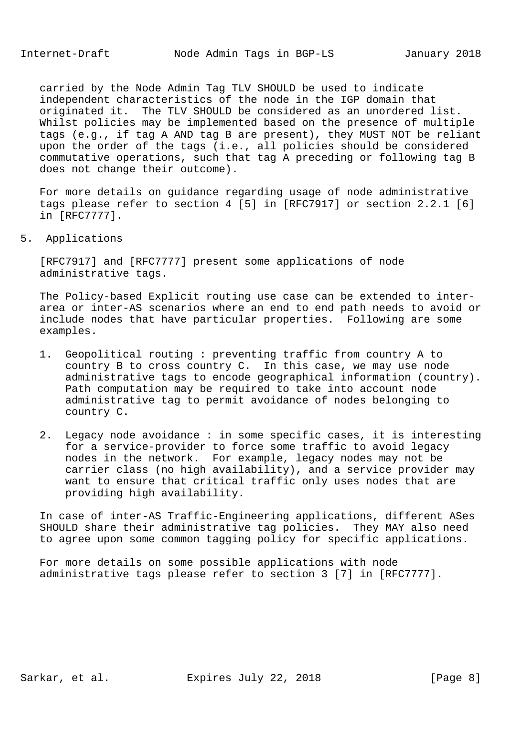carried by the Node Admin Tag TLV SHOULD be used to indicate independent characteristics of the node in the IGP domain that originated it. The TLV SHOULD be considered as an unordered list. Whilst policies may be implemented based on the presence of multiple tags (e.g., if tag A AND tag B are present), they MUST NOT be reliant upon the order of the tags (i.e., all policies should be considered commutative operations, such that tag A preceding or following tag B does not change their outcome).

 For more details on guidance regarding usage of node administrative tags please refer to section 4 [5] in [RFC7917] or section 2.2.1 [6] in [RFC7777].

5. Applications

 [RFC7917] and [RFC7777] present some applications of node administrative tags.

 The Policy-based Explicit routing use case can be extended to inter area or inter-AS scenarios where an end to end path needs to avoid or include nodes that have particular properties. Following are some examples.

- 1. Geopolitical routing : preventing traffic from country A to country B to cross country C. In this case, we may use node administrative tags to encode geographical information (country). Path computation may be required to take into account node administrative tag to permit avoidance of nodes belonging to country C.
- 2. Legacy node avoidance : in some specific cases, it is interesting for a service-provider to force some traffic to avoid legacy nodes in the network. For example, legacy nodes may not be carrier class (no high availability), and a service provider may want to ensure that critical traffic only uses nodes that are providing high availability.

 In case of inter-AS Traffic-Engineering applications, different ASes SHOULD share their administrative tag policies. They MAY also need to agree upon some common tagging policy for specific applications.

 For more details on some possible applications with node administrative tags please refer to section 3 [7] in [RFC7777].

Sarkar, et al. Expires July 22, 2018 [Page 8]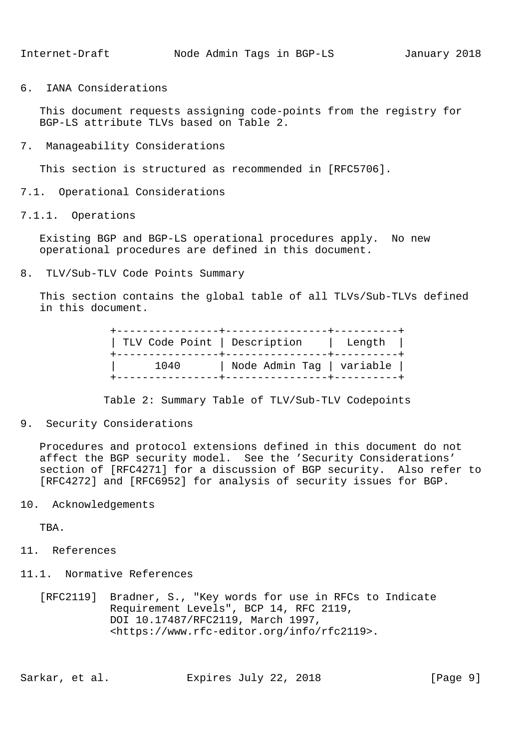6. IANA Considerations

 This document requests assigning code-points from the registry for BGP-LS attribute TLVs based on Table 2.

7. Manageability Considerations

This section is structured as recommended in [RFC5706].

- 7.1. Operational Considerations
- 7.1.1. Operations

 Existing BGP and BGP-LS operational procedures apply. No new operational procedures are defined in this document.

8. TLV/Sub-TLV Code Points Summary

 This section contains the global table of all TLVs/Sub-TLVs defined in this document.

| ---------------+------------- | TLV Code Point   Description   Length |  |
|-------------------------------|---------------------------------------|--|
| 1040                          | Node Admin Tag   variable             |  |

Table 2: Summary Table of TLV/Sub-TLV Codepoints

9. Security Considerations

 Procedures and protocol extensions defined in this document do not affect the BGP security model. See the 'Security Considerations' section of [RFC4271] for a discussion of BGP security. Also refer to [RFC4272] and [RFC6952] for analysis of security issues for BGP.

10. Acknowledgements

TBA.

- 11. References
- 11.1. Normative References
	- [RFC2119] Bradner, S., "Key words for use in RFCs to Indicate Requirement Levels", BCP 14, RFC 2119, DOI 10.17487/RFC2119, March 1997, <https://www.rfc-editor.org/info/rfc2119>.

Sarkar, et al. Expires July 22, 2018 [Page 9]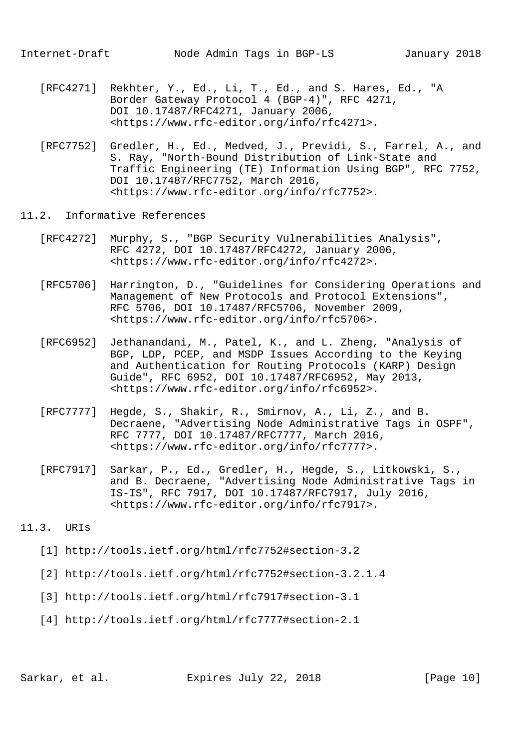- [RFC4271] Rekhter, Y., Ed., Li, T., Ed., and S. Hares, Ed., "A Border Gateway Protocol 4 (BGP-4)", RFC 4271, DOI 10.17487/RFC4271, January 2006, <https://www.rfc-editor.org/info/rfc4271>.
- [RFC7752] Gredler, H., Ed., Medved, J., Previdi, S., Farrel, A., and S. Ray, "North-Bound Distribution of Link-State and Traffic Engineering (TE) Information Using BGP", RFC 7752, DOI 10.17487/RFC7752, March 2016, <https://www.rfc-editor.org/info/rfc7752>.
- 11.2. Informative References
	- [RFC4272] Murphy, S., "BGP Security Vulnerabilities Analysis", RFC 4272, DOI 10.17487/RFC4272, January 2006, <https://www.rfc-editor.org/info/rfc4272>.
	- [RFC5706] Harrington, D., "Guidelines for Considering Operations and Management of New Protocols and Protocol Extensions", RFC 5706, DOI 10.17487/RFC5706, November 2009, <https://www.rfc-editor.org/info/rfc5706>.
	- [RFC6952] Jethanandani, M., Patel, K., and L. Zheng, "Analysis of BGP, LDP, PCEP, and MSDP Issues According to the Keying and Authentication for Routing Protocols (KARP) Design Guide", RFC 6952, DOI 10.17487/RFC6952, May 2013, <https://www.rfc-editor.org/info/rfc6952>.
	- [RFC7777] Hegde, S., Shakir, R., Smirnov, A., Li, Z., and B. Decraene, "Advertising Node Administrative Tags in OSPF", RFC 7777, DOI 10.17487/RFC7777, March 2016, <https://www.rfc-editor.org/info/rfc7777>.
	- [RFC7917] Sarkar, P., Ed., Gredler, H., Hegde, S., Litkowski, S., and B. Decraene, "Advertising Node Administrative Tags in IS-IS", RFC 7917, DOI 10.17487/RFC7917, July 2016, <https://www.rfc-editor.org/info/rfc7917>.
- 11.3. URIs
	- [1] http://tools.ietf.org/html/rfc7752#section-3.2
	- [2] http://tools.ietf.org/html/rfc7752#section-3.2.1.4
	- [3] http://tools.ietf.org/html/rfc7917#section-3.1
	- [4] http://tools.ietf.org/html/rfc7777#section-2.1